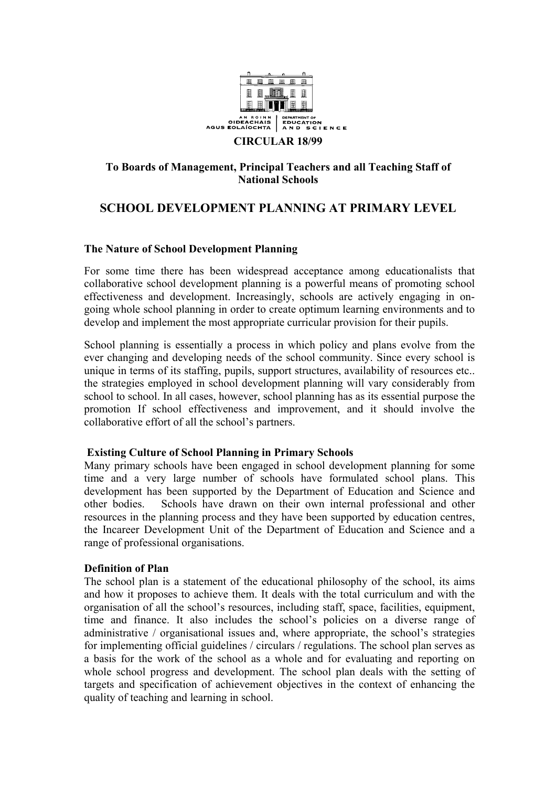

## **To Boards of Management, Principal Teachers and all Teaching Staff of National Schools**

# **SCHOOL DEVELOPMENT PLANNING AT PRIMARY LEVEL**

## **The Nature of School Development Planning**

For some time there has been widespread acceptance among educationalists that collaborative school development planning is a powerful means of promoting school effectiveness and development. Increasingly, schools are actively engaging in ongoing whole school planning in order to create optimum learning environments and to develop and implement the most appropriate curricular provision for their pupils.

School planning is essentially a process in which policy and plans evolve from the ever changing and developing needs of the school community. Since every school is unique in terms of its staffing, pupils, support structures, availability of resources etc.. the strategies employed in school development planning will vary considerably from school to school. In all cases, however, school planning has as its essential purpose the promotion If school effectiveness and improvement, and it should involve the collaborative effort of all the school's partners.

### **Existing Culture of School Planning in Primary Schools**

Many primary schools have been engaged in school development planning for some time and a very large number of schools have formulated school plans. This development has been supported by the Department of Education and Science and other bodies. Schools have drawn on their own internal professional and other resources in the planning process and they have been supported by education centres, the Incareer Development Unit of the Department of Education and Science and a range of professional organisations.

### **Definition of Plan**

The school plan is a statement of the educational philosophy of the school, its aims and how it proposes to achieve them. It deals with the total curriculum and with the organisation of all the school's resources, including staff, space, facilities, equipment, time and finance. It also includes the school's policies on a diverse range of administrative / organisational issues and, where appropriate, the school's strategies for implementing official guidelines / circulars / regulations. The school plan serves as a basis for the work of the school as a whole and for evaluating and reporting on whole school progress and development. The school plan deals with the setting of targets and specification of achievement objectives in the context of enhancing the quality of teaching and learning in school.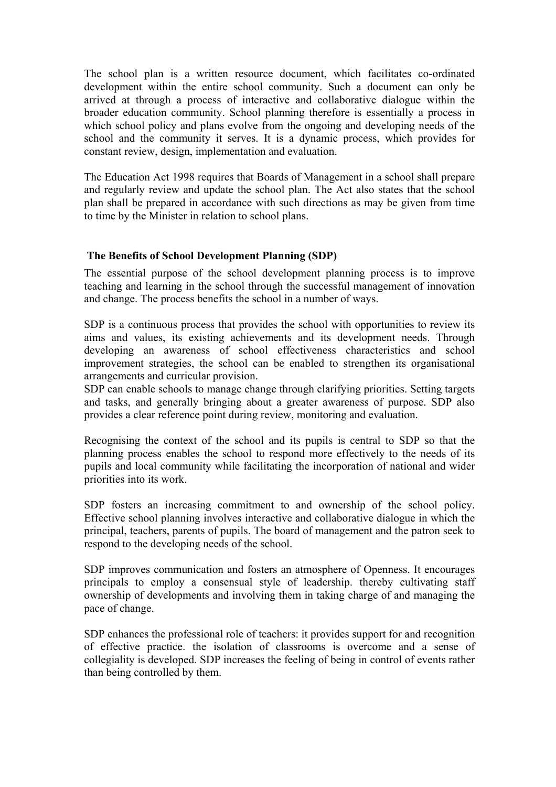The school plan is a written resource document, which facilitates co-ordinated development within the entire school community. Such a document can only be arrived at through a process of interactive and collaborative dialogue within the broader education community. School planning therefore is essentially a process in which school policy and plans evolve from the ongoing and developing needs of the school and the community it serves. It is a dynamic process, which provides for constant review, design, implementation and evaluation.

The Education Act 1998 requires that Boards of Management in a school shall prepare and regularly review and update the school plan. The Act also states that the school plan shall be prepared in accordance with such directions as may be given from time to time by the Minister in relation to school plans.

## **The Benefits of School Development Planning (SDP)**

The essential purpose of the school development planning process is to improve teaching and learning in the school through the successful management of innovation and change. The process benefits the school in a number of ways.

SDP is a continuous process that provides the school with opportunities to review its aims and values, its existing achievements and its development needs. Through developing an awareness of school effectiveness characteristics and school improvement strategies, the school can be enabled to strengthen its organisational arrangements and curricular provision.

SDP can enable schools to manage change through clarifying priorities. Setting targets and tasks, and generally bringing about a greater awareness of purpose. SDP also provides a clear reference point during review, monitoring and evaluation.

Recognising the context of the school and its pupils is central to SDP so that the planning process enables the school to respond more effectively to the needs of its pupils and local community while facilitating the incorporation of national and wider priorities into its work.

SDP fosters an increasing commitment to and ownership of the school policy. Effective school planning involves interactive and collaborative dialogue in which the principal, teachers, parents of pupils. The board of management and the patron seek to respond to the developing needs of the school.

SDP improves communication and fosters an atmosphere of Openness. It encourages principals to employ a consensual style of leadership. thereby cultivating staff ownership of developments and involving them in taking charge of and managing the pace of change.

SDP enhances the professional role of teachers: it provides support for and recognition of effective practice. the isolation of classrooms is overcome and a sense of collegiality is developed. SDP increases the feeling of being in control of events rather than being controlled by them.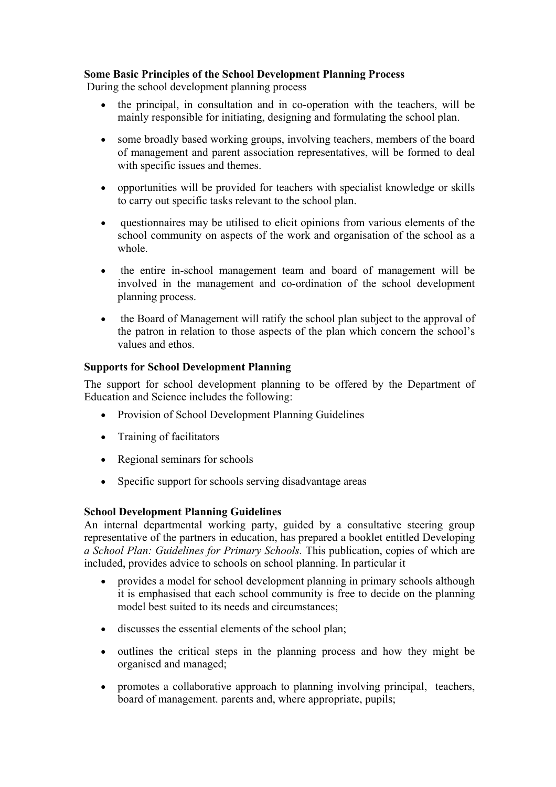## **Some Basic Principles of the School Development Planning Process**

During the school development planning process

- the principal, in consultation and in co-operation with the teachers, will be mainly responsible for initiating, designing and formulating the school plan.
- some broadly based working groups, involving teachers, members of the board of management and parent association representatives, will be formed to deal with specific issues and themes.
- opportunities will be provided for teachers with specialist knowledge or skills to carry out specific tasks relevant to the school plan.
- questionnaires may be utilised to elicit opinions from various elements of the school community on aspects of the work and organisation of the school as a whole.
- the entire in-school management team and board of management will be involved in the management and co-ordination of the school development planning process.
- the Board of Management will ratify the school plan subject to the approval of the patron in relation to those aspects of the plan which concern the school's values and ethos.

## **Supports for School Development Planning**

The support for school development planning to be offered by the Department of Education and Science includes the following:

- Provision of School Development Planning Guidelines
- Training of facilitators
- Regional seminars for schools
- Specific support for schools serving disadvantage areas

### **School Development Planning Guidelines**

An internal departmental working party, guided by a consultative steering group representative of the partners in education, has prepared a booklet entitled Developing *a School Plan: Guidelines for Primary Schools.* This publication, copies of which are included, provides advice to schools on school planning. In particular it

- provides a model for school development planning in primary schools although it is emphasised that each school community is free to decide on the planning model best suited to its needs and circumstances;
- discusses the essential elements of the school plan;
- outlines the critical steps in the planning process and how they might be organised and managed;
- promotes a collaborative approach to planning involving principal, teachers, board of management. parents and, where appropriate, pupils;